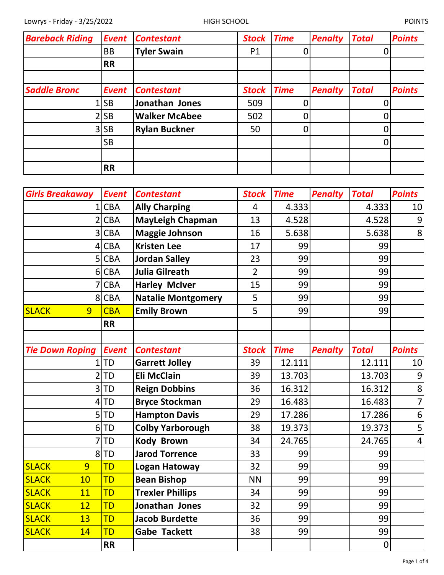| <b>Bareback Riding</b> | <b>Event</b> | <b>Contestant</b>    | <b>Stock</b>   | <b>Time</b> | <b>Penalty</b> | <b>Total</b> | <b>Points</b> |
|------------------------|--------------|----------------------|----------------|-------------|----------------|--------------|---------------|
|                        | <b>BB</b>    | <b>Tyler Swain</b>   | P <sub>1</sub> |             |                |              |               |
|                        | <b>RR</b>    |                      |                |             |                |              |               |
|                        |              |                      |                |             |                |              |               |
| <b>Saddle Bronc</b>    | <b>Event</b> | <b>Contestant</b>    | <b>Stock</b>   | <b>Time</b> | <b>Penalty</b> | <b>Total</b> | <b>Points</b> |
|                        | <b>SB</b>    | Jonathan Jones       | 509            |             |                |              |               |
|                        | <b>SB</b>    | <b>Walker McAbee</b> | 502            |             |                |              |               |
|                        | $3$ SB       | <b>Rylan Buckner</b> | 50             |             |                |              |               |
|                        | <b>SB</b>    |                      |                |             |                |              |               |
|                        |              |                      |                |             |                |              |               |
|                        | <b>RR</b>    |                      |                |             |                |              |               |

| <b>Girls Breakaway</b> | <b>Event</b> | <b>Contestant</b>         | <b>Stock</b>   | <b>Time</b> | <b>Penalty</b> | <b>Total</b> | <b>Points</b>  |
|------------------------|--------------|---------------------------|----------------|-------------|----------------|--------------|----------------|
| 1                      | <b>CBA</b>   | <b>Ally Charping</b>      | $\overline{4}$ | 4.333       |                | 4.333        | 10             |
| 2                      | <b>CBA</b>   | <b>MayLeigh Chapman</b>   | 13             | 4.528       |                | 4.528        | 9              |
| 3                      | <b>CBA</b>   | <b>Maggie Johnson</b>     | 16             | 5.638       |                | 5.638        | 8              |
| 4                      | <b>CBA</b>   | <b>Kristen Lee</b>        | 17             | 99          |                | 99           |                |
| 5                      | <b>CBA</b>   | <b>Jordan Salley</b>      | 23             | 99          |                | 99           |                |
| 6                      | <b>CBA</b>   | <b>Julia Gilreath</b>     | $\overline{2}$ | 99          |                | 99           |                |
|                        | <b>CBA</b>   | <b>Harley McIver</b>      | 15             | 99          |                | 99           |                |
| 8                      | <b>CBA</b>   | <b>Natalie Montgomery</b> | 5              | 99          |                | 99           |                |
| <b>SLACK</b><br>9      | <b>CBA</b>   | <b>Emily Brown</b>        | 5              | 99          |                | 99           |                |
|                        | <b>RR</b>    |                           |                |             |                |              |                |
|                        |              |                           |                |             |                |              |                |
| <b>Tie Down Roping</b> | <b>Event</b> | <b>Contestant</b>         | <b>Stock</b>   | <b>Time</b> | <b>Penalty</b> | <b>Total</b> | <b>Points</b>  |
| 1                      | <b>TD</b>    | <b>Garrett Jolley</b>     | 39             | 12.111      |                | 12.111       | 10             |
| $\overline{2}$         | <b>TD</b>    | <b>Eli McClain</b>        | 39             | 13.703      |                | 13.703       | 9              |
| 3                      | TD           | <b>Reign Dobbins</b>      | 36             | 16.312      |                | 16.312       | 8              |
| 4                      | TD           | <b>Bryce Stockman</b>     | 29             | 16.483      |                | 16.483       | $\overline{7}$ |
| 5                      | TD           | <b>Hampton Davis</b>      | 29             | 17.286      |                | 17.286       | 6              |
| 6                      | <b>TD</b>    | <b>Colby Yarborough</b>   | 38             | 19.373      |                | 19.373       | 5              |
| 7                      | TD           | <b>Kody Brown</b>         | 34             | 24.765      |                | 24.765       | $\overline{4}$ |
| 8                      | <b>TD</b>    | <b>Jarod Torrence</b>     | 33             | 99          |                | 99           |                |
| <b>SLACK</b><br>9      | <b>TD</b>    | <b>Logan Hatoway</b>      | 32             | 99          |                | 99           |                |
| <b>SLACK</b><br>10     | <b>TD</b>    | <b>Bean Bishop</b>        | <b>NN</b>      | 99          |                | 99           |                |
| <b>SLACK</b><br>11     | <b>TD</b>    | <b>Trexler Phillips</b>   | 34             | 99          |                | 99           |                |
| <b>SLACK</b><br>12     | <b>TD</b>    | Jonathan Jones            | 32             | 99          |                | 99           |                |
| <b>SLACK</b><br>13     | TD           | <b>Jacob Burdette</b>     | 36             | 99          |                | 99           |                |
| <b>SLACK</b><br>14     | <b>TD</b>    | <b>Gabe Tackett</b>       | 38             | 99          |                | 99           |                |
|                        | <b>RR</b>    |                           |                |             |                | 0            |                |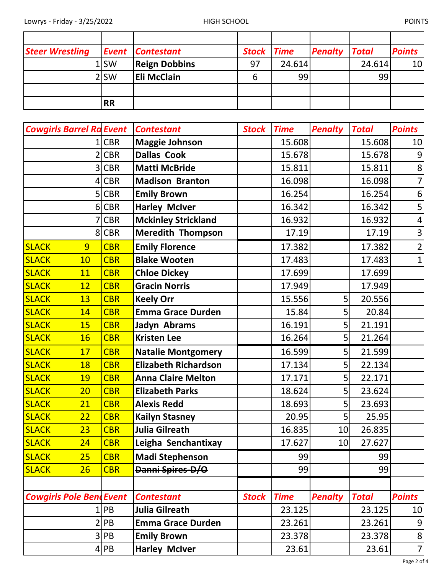| <b>Steer Wrestling</b> |                  | <b>Event Contestant</b> | <b>Stock Time</b> |        | <b>Penalty Total</b> |        | <b>Points</b>   |
|------------------------|------------------|-------------------------|-------------------|--------|----------------------|--------|-----------------|
|                        | 1 <sub>SW</sub>  | <b>Reign Dobbins</b>    | 97                | 24.614 |                      | 24.614 | 10 <sup>1</sup> |
|                        | 2 <sub>ISW</sub> | <b>Eli McClain</b>      |                   | 99     |                      | 99     |                 |
|                        |                  |                         |                   |        |                      |        |                 |
|                        | <b>RR</b>        |                         |                   |        |                      |        |                 |

| <b>Cowgirls Barrel Ra Event</b> |            | <b>Contestant</b>           | <b>Stock</b> | <b>Time</b> | <b>Penalty</b> | <b>Total</b> | <b>Points</b>  |
|---------------------------------|------------|-----------------------------|--------------|-------------|----------------|--------------|----------------|
|                                 | <b>CBR</b> | <b>Maggie Johnson</b>       |              | 15.608      |                | 15.608       | 10             |
|                                 | <b>CBR</b> | <b>Dallas Cook</b>          |              | 15.678      |                | 15.678       | 9              |
| 3                               | <b>CBR</b> | <b>Matti McBride</b>        |              | 15.811      |                | 15.811       | 8              |
| 4                               | <b>CBR</b> | <b>Madison Branton</b>      |              | 16.098      |                | 16.098       | 7              |
| 5                               | <b>CBR</b> | <b>Emily Brown</b>          |              | 16.254      |                | 16.254       | 6              |
| 6                               | <b>CBR</b> | <b>Harley McIver</b>        |              | 16.342      |                | 16.342       | 5              |
|                                 | <b>CBR</b> | <b>Mckinley Strickland</b>  |              | 16.932      |                | 16.932       | 4              |
| 8                               | <b>CBR</b> | <b>Meredith Thompson</b>    |              | 17.19       |                | 17.19        | $\mathsf{3}$   |
| <b>SLACK</b><br>9               | <b>CBR</b> | <b>Emily Florence</b>       |              | 17.382      |                | 17.382       | 2              |
| <b>SLACK</b><br>10              | <b>CBR</b> | <b>Blake Wooten</b>         |              | 17.483      |                | 17.483       | 1              |
| <b>SLACK</b><br>11              | <b>CBR</b> | <b>Chloe Dickey</b>         |              | 17.699      |                | 17.699       |                |
| 12<br><b>SLACK</b>              | <b>CBR</b> | <b>Gracin Norris</b>        |              | 17.949      |                | 17.949       |                |
| <b>SLACK</b><br>13              | <b>CBR</b> | <b>Keely Orr</b>            |              | 15.556      | 5              | 20.556       |                |
| <b>SLACK</b><br>14              | <b>CBR</b> | <b>Emma Grace Durden</b>    |              | 15.84       | 5              | 20.84        |                |
| <b>SLACK</b><br><b>15</b>       | <b>CBR</b> | Jadyn Abrams                |              | 16.191      | 5              | 21.191       |                |
| <b>SLACK</b><br><b>16</b>       | <b>CBR</b> | <b>Kristen Lee</b>          |              | 16.264      | 5              | 21.264       |                |
| <b>SLACK</b><br>17              | <b>CBR</b> | <b>Natalie Montgomery</b>   |              | 16.599      | 5              | 21.599       |                |
| <b>SLACK</b><br>18              | <b>CBR</b> | <b>Elizabeth Richardson</b> |              | 17.134      | 5              | 22.134       |                |
| <b>SLACK</b><br>19              | <b>CBR</b> | <b>Anna Claire Melton</b>   |              | 17.171      | 5              | 22.171       |                |
| 20<br><b>SLACK</b>              | <b>CBR</b> | <b>Elizabeth Parks</b>      |              | 18.624      | 5              | 23.624       |                |
| <b>SLACK</b><br>21              | <b>CBR</b> | <b>Alexis Redd</b>          |              | 18.693      | 5              | 23.693       |                |
| <b>SLACK</b><br>22              | <b>CBR</b> | <b>Kailyn Stasney</b>       |              | 20.95       | 5              | 25.95        |                |
| <b>SLACK</b><br>23              | <b>CBR</b> | Julia Gilreath              |              | 16.835      | 10             | 26.835       |                |
| <b>SLACK</b><br>24              | <b>CBR</b> | Leigha Senchantixay         |              | 17.627      | 10             | 27.627       |                |
| <b>SLACK</b><br>25              | <b>CBR</b> | <b>Madi Stephenson</b>      |              | 99          |                | 99           |                |
| <b>SLACK</b><br>26              | <b>CBR</b> | Danni Spires-D/O            |              | 99          |                | 99           |                |
|                                 |            |                             |              |             |                |              |                |
| <b>Cowgirls Pole BendEvent</b>  |            | <b>Contestant</b>           | <b>Stock</b> | <b>Time</b> | <b>Penalty</b> | <b>Total</b> | <b>Points</b>  |
|                                 | PB         | Julia Gilreath              |              | 23.125      |                | 23.125       | 10             |
|                                 | PB         | <b>Emma Grace Durden</b>    |              | 23.261      |                | 23.261       | 9              |
| 3                               | PB         | <b>Emily Brown</b>          |              | 23.378      |                | 23.378       | $\bf 8$        |
|                                 | 4 PB       | <b>Harley McIver</b>        |              | 23.61       |                | 23.61        | $\overline{7}$ |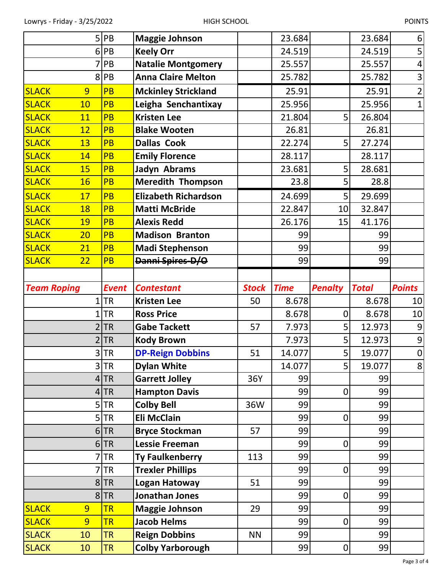|                    | 5              | PB           | <b>Maggie Johnson</b>       |              | 23.684      |                  | 23.684       | 6                |
|--------------------|----------------|--------------|-----------------------------|--------------|-------------|------------------|--------------|------------------|
|                    | 6              | PB           | <b>Keely Orr</b>            |              | 24.519      |                  | 24.519       | 5                |
|                    |                | PB           | <b>Natalie Montgomery</b>   |              | 25.557      |                  | 25.557       | $\overline{4}$   |
|                    | 8              | PB           | <b>Anna Claire Melton</b>   |              | 25.782      |                  | 25.782       | $\overline{3}$   |
| <b>SLACK</b>       | 9              | <b>PB</b>    | <b>Mckinley Strickland</b>  |              | 25.91       |                  | 25.91        | $\overline{2}$   |
| <b>SLACK</b>       | 10             | PB           | Leigha Senchantixay         |              | 25.956      |                  | 25.956       | $\mathbf{1}$     |
| <b>SLACK</b>       | 11             | PB           | <b>Kristen Lee</b>          |              | 21.804      | 5                | 26.804       |                  |
| <b>SLACK</b>       | 12             | <b>PB</b>    | <b>Blake Wooten</b>         |              | 26.81       |                  | 26.81        |                  |
| <b>SLACK</b>       | 13             | PB           | <b>Dallas Cook</b>          |              | 22.274      | 5                | 27.274       |                  |
| <b>SLACK</b>       | 14             | PB           | <b>Emily Florence</b>       |              | 28.117      |                  | 28.117       |                  |
| <b>SLACK</b>       | 15             | PB           | Jadyn Abrams                |              | 23.681      | 5                | 28.681       |                  |
| <b>SLACK</b>       | 16             | PB           | <b>Meredith Thompson</b>    |              | 23.8        | 5                | 28.8         |                  |
| <b>SLACK</b>       | 17             | <b>PB</b>    | <b>Elizabeth Richardson</b> |              | 24.699      | 5                | 29.699       |                  |
| <b>SLACK</b>       | 18             | PB           | <b>Matti McBride</b>        |              | 22.847      | 10               | 32.847       |                  |
| <b>SLACK</b>       | 19             | PB           | <b>Alexis Redd</b>          |              | 26.176      | 15               | 41.176       |                  |
| <b>SLACK</b>       | 20             | PB           | <b>Madison Branton</b>      |              | 99          |                  | 99           |                  |
| <b>SLACK</b>       | 21             | PB           | <b>Madi Stephenson</b>      |              | 99          |                  | 99           |                  |
| <b>SLACK</b>       | 22             | PB           | Danni Spires-D/O            |              | 99          |                  | 99           |                  |
|                    |                |              |                             |              |             |                  |              |                  |
| <b>Team Roping</b> |                | <b>Event</b> | <b>Contestant</b>           | <b>Stock</b> | <b>Time</b> | <b>Penalty</b>   | <b>Total</b> | <b>Points</b>    |
|                    |                | <b>TR</b>    | <b>Kristen Lee</b>          | 50           | 8.678       |                  | 8.678        | 10               |
|                    |                | <b>TR</b>    | <b>Ross Price</b>           |              | 8.678       | $\mathbf 0$      | 8.678        | 10               |
|                    | 2              | <b>TR</b>    | <b>Gabe Tackett</b>         | 57           | 7.973       | 5                | 12.973       | $\boldsymbol{9}$ |
|                    |                | <b>TR</b>    | <b>Kody Brown</b>           |              | 7.973       | 5                | 12.973       | 9                |
|                    |                | $3$ TR       | <b>DP-Reign Dobbins</b>     | 51           | 14.077      | 5 <sup>1</sup>   | 19.077       | $\overline{0}$   |
|                    | 3              | <b>TR</b>    | <b>Dylan White</b>          |              | 14.077      | 5                | 19.077       | 8                |
|                    | 4              | <b>TR</b>    | <b>Garrett Jolley</b>       |              |             |                  |              |                  |
|                    |                |              |                             | 36Y          | 99          |                  | 99           |                  |
|                    | 4              | <b>TR</b>    | <b>Hampton Davis</b>        |              | 99          | $\boldsymbol{0}$ | 99           |                  |
|                    | 5              | <b>TR</b>    | <b>Colby Bell</b>           | 36W          | 99          |                  | 99           |                  |
|                    |                | $5$ TR       | <b>Eli McClain</b>          |              | 99          | $\boldsymbol{0}$ | 99           |                  |
|                    | 6              | <b>TR</b>    | <b>Bryce Stockman</b>       | 57           | 99          |                  | 99           |                  |
|                    |                | $6$ TR       | <b>Lessie Freeman</b>       |              | 99          | $\overline{0}$   | 99           |                  |
|                    |                | <b>TR</b>    | <b>Ty Faulkenberry</b>      | 113          | 99          |                  | 99           |                  |
|                    |                | <b>TR</b>    | <b>Trexler Phillips</b>     |              | 99          | $\boldsymbol{0}$ | 99           |                  |
|                    | 8              | <b>TR</b>    | <b>Logan Hatoway</b>        | 51           | 99          |                  | 99           |                  |
|                    |                | 8 TR         | <b>Jonathan Jones</b>       |              | 99          | $\boldsymbol{0}$ | 99           |                  |
| <b>SLACK</b>       | 9              | <b>TR</b>    | <b>Maggie Johnson</b>       | 29           | 99          |                  | 99           |                  |
| <b>SLACK</b>       | $\overline{9}$ | <b>TR</b>    | <b>Jacob Helms</b>          |              | 99          | $\mathbf 0$      | 99           |                  |
| <b>SLACK</b>       | 10             | <b>TR</b>    | <b>Reign Dobbins</b>        | <b>NN</b>    | 99          |                  | 99           |                  |